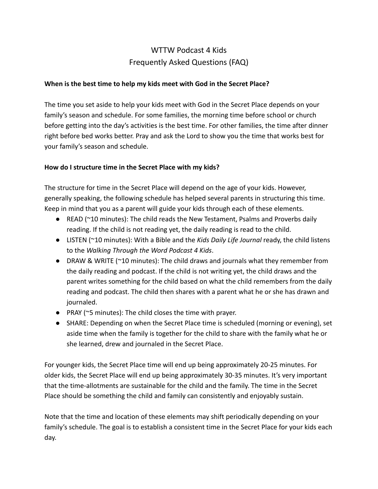# WTTW Podcast 4 Kids Frequently Asked Questions (FAQ)

# **When is the best time to help my kids meet with God in the Secret Place?**

The time you set aside to help your kids meet with God in the Secret Place depends on your family's season and schedule. For some families, the morning time before school or church before getting into the day's activities is the best time. For other families, the time after dinner right before bed works better. Pray and ask the Lord to show you the time that works best for your family's season and schedule.

#### **How do I structure time in the Secret Place with my kids?**

The structure for time in the Secret Place will depend on the age of your kids. However, generally speaking, the following schedule has helped several parents in structuring this time. Keep in mind that you as a parent will guide your kids through each of these elements.

- READ (~10 minutes): The child reads the New Testament, Psalms and Proverbs daily reading. If the child is not reading yet, the daily reading is read to the child.
- LISTEN (~10 minutes): With a Bible and the *Kids Daily Life Journal* ready, the child listens to the *Walking Through the Word Podcast 4 Kids*.
- DRAW & WRITE ( $\sim$ 10 minutes): The child draws and journals what they remember from the daily reading and podcast. If the child is not writing yet, the child draws and the parent writes something for the child based on what the child remembers from the daily reading and podcast. The child then shares with a parent what he or she has drawn and journaled.
- PRAY (~5 minutes): The child closes the time with prayer.
- SHARE: Depending on when the Secret Place time is scheduled (morning or evening), set aside time when the family is together for the child to share with the family what he or she learned, drew and journaled in the Secret Place.

For younger kids, the Secret Place time will end up being approximately 20-25 minutes. For older kids, the Secret Place will end up being approximately 30-35 minutes. It's very important that the time-allotments are sustainable for the child and the family. The time in the Secret Place should be something the child and family can consistently and enjoyably sustain.

Note that the time and location of these elements may shift periodically depending on your family's schedule. The goal is to establish a consistent time in the Secret Place for your kids each day.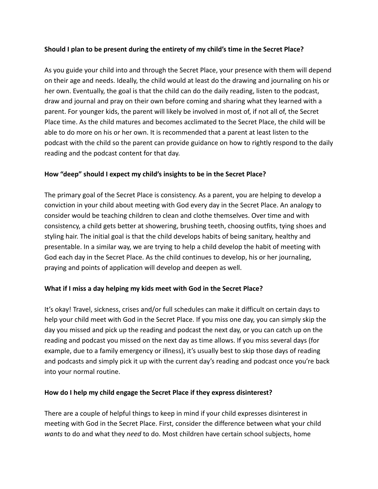# **Should I plan to be present during the entirety of my child's time in the Secret Place?**

As you guide your child into and through the Secret Place, your presence with them will depend on their age and needs. Ideally, the child would at least do the drawing and journaling on his or her own. Eventually, the goal is that the child can do the daily reading, listen to the podcast, draw and journal and pray on their own before coming and sharing what they learned with a parent. For younger kids, the parent will likely be involved in most of, if not all of, the Secret Place time. As the child matures and becomes acclimated to the Secret Place, the child will be able to do more on his or her own. It is recommended that a parent at least listen to the podcast with the child so the parent can provide guidance on how to rightly respond to the daily reading and the podcast content for that day.

## **How "deep" should I expect my child's insights to be in the Secret Place?**

The primary goal of the Secret Place is consistency. As a parent, you are helping to develop a conviction in your child about meeting with God every day in the Secret Place. An analogy to consider would be teaching children to clean and clothe themselves. Over time and with consistency, a child gets better at showering, brushing teeth, choosing outfits, tying shoes and styling hair. The initial goal is that the child develops habits of being sanitary, healthy and presentable. In a similar way, we are trying to help a child develop the habit of meeting with God each day in the Secret Place. As the child continues to develop, his or her journaling, praying and points of application will develop and deepen as well.

# **What if I miss a day helping my kids meet with God in the Secret Place?**

It's okay! Travel, sickness, crises and/or full schedules can make it difficult on certain days to help your child meet with God in the Secret Place. If you miss one day, you can simply skip the day you missed and pick up the reading and podcast the next day, or you can catch up on the reading and podcast you missed on the next day as time allows. If you miss several days (for example, due to a family emergency or illness), it's usually best to skip those days of reading and podcasts and simply pick it up with the current day's reading and podcast once you're back into your normal routine.

#### **How do I help my child engage the Secret Place if they express disinterest?**

There are a couple of helpful things to keep in mind if your child expresses disinterest in meeting with God in the Secret Place. First, consider the difference between what your child *wants* to do and what they *need* to do. Most children have certain school subjects, home